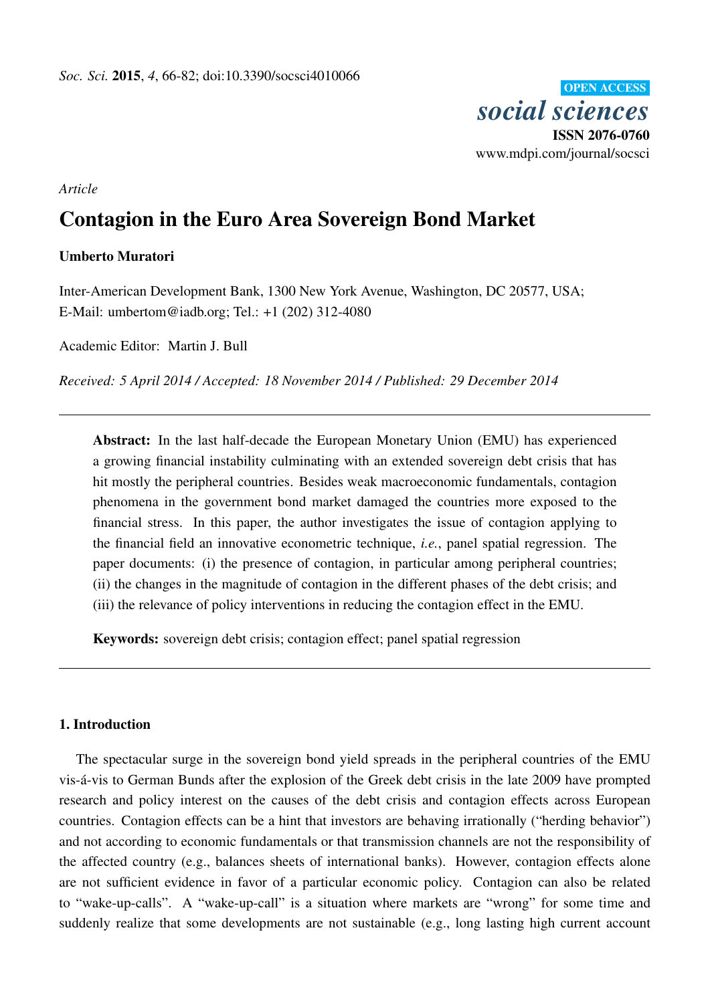**OPEN ACCESS** *social sciences* ISSN 2076-0760 www.mdpi.com/journal/socsci

*Article*

# Contagion in the Euro Area Sovereign Bond Market

# Umberto Muratori

Inter-American Development Bank, 1300 New York Avenue, Washington, DC 20577, USA; E-Mail: umbertom@iadb.org; Tel.: +1 (202) 312-4080

Academic Editor: Martin J. Bull

*Received: 5 April 2014 / Accepted: 18 November 2014 / Published: 29 December 2014*

Abstract: In the last half-decade the European Monetary Union (EMU) has experienced a growing financial instability culminating with an extended sovereign debt crisis that has hit mostly the peripheral countries. Besides weak macroeconomic fundamentals, contagion phenomena in the government bond market damaged the countries more exposed to the financial stress. In this paper, the author investigates the issue of contagion applying to the financial field an innovative econometric technique, *i.e.*, panel spatial regression. The paper documents: (i) the presence of contagion, in particular among peripheral countries; (ii) the changes in the magnitude of contagion in the different phases of the debt crisis; and (iii) the relevance of policy interventions in reducing the contagion effect in the EMU.

Keywords: sovereign debt crisis; contagion effect; panel spatial regression

# 1. Introduction

The spectacular surge in the sovereign bond yield spreads in the peripheral countries of the EMU vis-á-vis to German Bunds after the explosion of the Greek debt crisis in the late 2009 have prompted research and policy interest on the causes of the debt crisis and contagion effects across European countries. Contagion effects can be a hint that investors are behaving irrationally ("herding behavior") and not according to economic fundamentals or that transmission channels are not the responsibility of the affected country (e.g., balances sheets of international banks). However, contagion effects alone are not sufficient evidence in favor of a particular economic policy. Contagion can also be related to "wake-up-calls". A "wake-up-call" is a situation where markets are "wrong" for some time and suddenly realize that some developments are not sustainable (e.g., long lasting high current account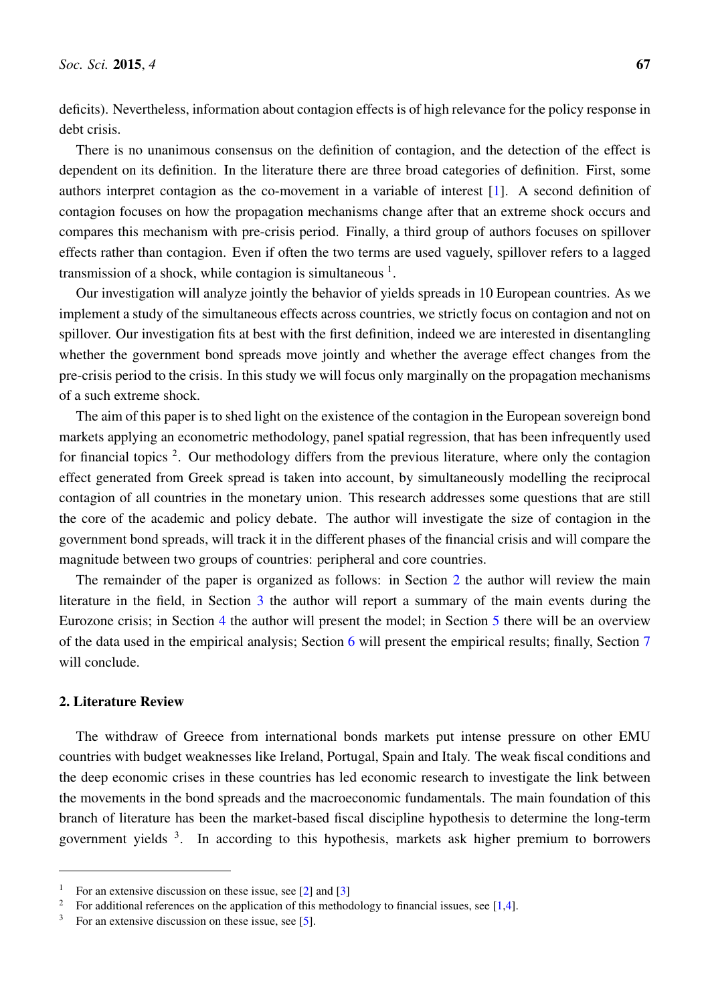deficits). Nevertheless, information about contagion effects is of high relevance for the policy response in debt crisis.

There is no unanimous consensus on the definition of contagion, and the detection of the effect is dependent on its definition. In the literature there are three broad categories of definition. First, some authors interpret contagion as the co-movement in a variable of interest [\[1\]](#page-14-0). A second definition of contagion focuses on how the propagation mechanisms change after that an extreme shock occurs and compares this mechanism with pre-crisis period. Finally, a third group of authors focuses on spillover effects rather than contagion. Even if often the two terms are used vaguely, spillover refers to a lagged transmission of a shock, while contagion is simultaneous  $<sup>1</sup>$ .</sup>

Our investigation will analyze jointly the behavior of yields spreads in 10 European countries. As we implement a study of the simultaneous effects across countries, we strictly focus on contagion and not on spillover. Our investigation fits at best with the first definition, indeed we are interested in disentangling whether the government bond spreads move jointly and whether the average effect changes from the pre-crisis period to the crisis. In this study we will focus only marginally on the propagation mechanisms of a such extreme shock.

The aim of this paper is to shed light on the existence of the contagion in the European sovereign bond markets applying an econometric methodology, panel spatial regression, that has been infrequently used for financial topics<sup>2</sup>. Our methodology differs from the previous literature, where only the contagion effect generated from Greek spread is taken into account, by simultaneously modelling the reciprocal contagion of all countries in the monetary union. This research addresses some questions that are still the core of the academic and policy debate. The author will investigate the size of contagion in the government bond spreads, will track it in the different phases of the financial crisis and will compare the magnitude between two groups of countries: peripheral and core countries.

The remainder of the paper is organized as follows: in Section [2](#page-1-0) the author will review the main literature in the field, in Section [3](#page-3-0) the author will report a summary of the main events during the Eurozone crisis; in Section [4](#page-6-0) the author will present the model; in Section [5](#page-7-0) there will be an overview of the data used in the empirical analysis; Section [6](#page-10-0) will present the empirical results; finally, Section [7](#page-13-0) will conclude.

#### <span id="page-1-0"></span>2. Literature Review

The withdraw of Greece from international bonds markets put intense pressure on other EMU countries with budget weaknesses like Ireland, Portugal, Spain and Italy. The weak fiscal conditions and the deep economic crises in these countries has led economic research to investigate the link between the movements in the bond spreads and the macroeconomic fundamentals. The main foundation of this branch of literature has been the market-based fiscal discipline hypothesis to determine the long-term government yields <sup>3</sup>. In according to this hypothesis, markets ask higher premium to borrowers

<sup>&</sup>lt;sup>1</sup> For an extensive discussion on these issue, see  $[2]$  and  $[3]$ 

<sup>&</sup>lt;sup>2</sup> For additional references on the application of this methodology to financial issues, see [\[1,](#page-14-0)[4\]](#page-14-3).

 $3\,\text{}$  For an extensive discussion on these issue, see [\[5\]](#page-14-4).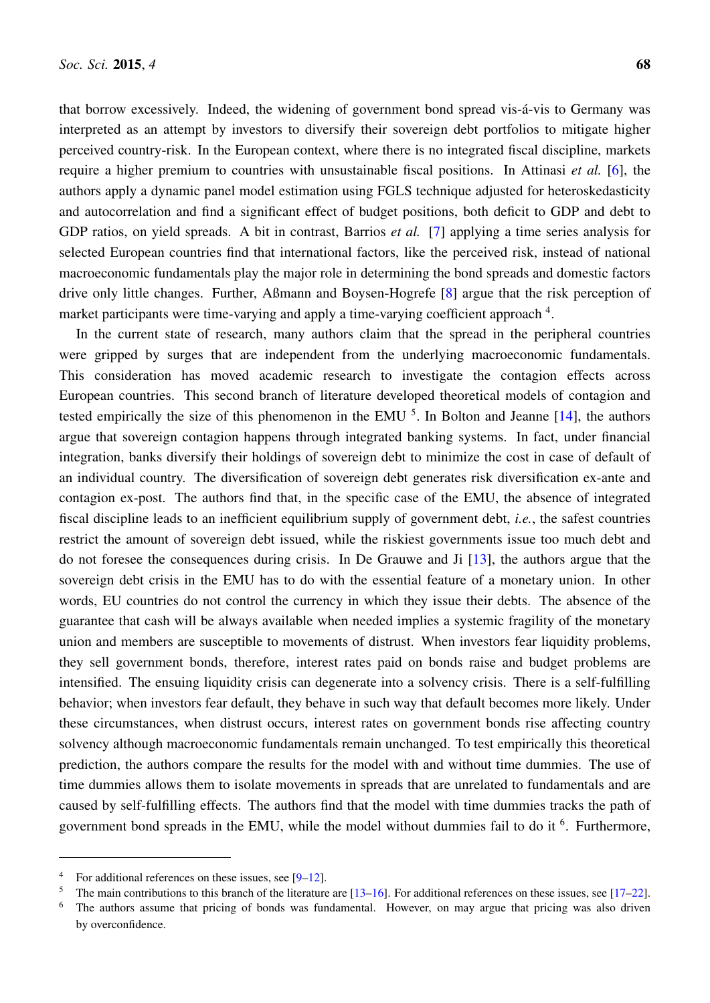that borrow excessively. Indeed, the widening of government bond spread vis-á-vis to Germany was interpreted as an attempt by investors to diversify their sovereign debt portfolios to mitigate higher perceived country-risk. In the European context, where there is no integrated fiscal discipline, markets require a higher premium to countries with unsustainable fiscal positions. In Attinasi *et al.* [\[6\]](#page-14-5), the authors apply a dynamic panel model estimation using FGLS technique adjusted for heteroskedasticity and autocorrelation and find a significant effect of budget positions, both deficit to GDP and debt to GDP ratios, on yield spreads. A bit in contrast, Barrios *et al.* [\[7\]](#page-14-6) applying a time series analysis for selected European countries find that international factors, like the perceived risk, instead of national macroeconomic fundamentals play the major role in determining the bond spreads and domestic factors drive only little changes. Further, Aßmann and Boysen-Hogrefe [\[8\]](#page-15-0) argue that the risk perception of market participants were time-varying and apply a time-varying coefficient approach <sup>4</sup>.

In the current state of research, many authors claim that the spread in the peripheral countries were gripped by surges that are independent from the underlying macroeconomic fundamentals. This consideration has moved academic research to investigate the contagion effects across European countries. This second branch of literature developed theoretical models of contagion and tested empirically the size of this phenomenon in the EMU<sup>5</sup>. In Bolton and Jeanne [\[14\]](#page-15-1), the authors argue that sovereign contagion happens through integrated banking systems. In fact, under financial integration, banks diversify their holdings of sovereign debt to minimize the cost in case of default of an individual country. The diversification of sovereign debt generates risk diversification ex-ante and contagion ex-post. The authors find that, in the specific case of the EMU, the absence of integrated fiscal discipline leads to an inefficient equilibrium supply of government debt, *i.e.*, the safest countries restrict the amount of sovereign debt issued, while the riskiest governments issue too much debt and do not foresee the consequences during crisis. In De Grauwe and Ji [\[13\]](#page-15-2), the authors argue that the sovereign debt crisis in the EMU has to do with the essential feature of a monetary union. In other words, EU countries do not control the currency in which they issue their debts. The absence of the guarantee that cash will be always available when needed implies a systemic fragility of the monetary union and members are susceptible to movements of distrust. When investors fear liquidity problems, they sell government bonds, therefore, interest rates paid on bonds raise and budget problems are intensified. The ensuing liquidity crisis can degenerate into a solvency crisis. There is a self-fulfilling behavior; when investors fear default, they behave in such way that default becomes more likely. Under these circumstances, when distrust occurs, interest rates on government bonds rise affecting country solvency although macroeconomic fundamentals remain unchanged. To test empirically this theoretical prediction, the authors compare the results for the model with and without time dummies. The use of time dummies allows them to isolate movements in spreads that are unrelated to fundamentals and are caused by self-fulfilling effects. The authors find that the model with time dummies tracks the path of government bond spreads in the EMU, while the model without dummies fail to do it <sup>6</sup>. Furthermore,

<sup>&</sup>lt;sup>4</sup> For additional references on these issues, see  $[9-12]$  $[9-12]$ .

<sup>&</sup>lt;sup>5</sup> The main contributions to this branch of the literature are  $[13–16]$  $[13–16]$ . For additional references on these issues, see  $[17–22]$  $[17–22]$ .

The authors assume that pricing of bonds was fundamental. However, on may argue that pricing was also driven by overconfidence.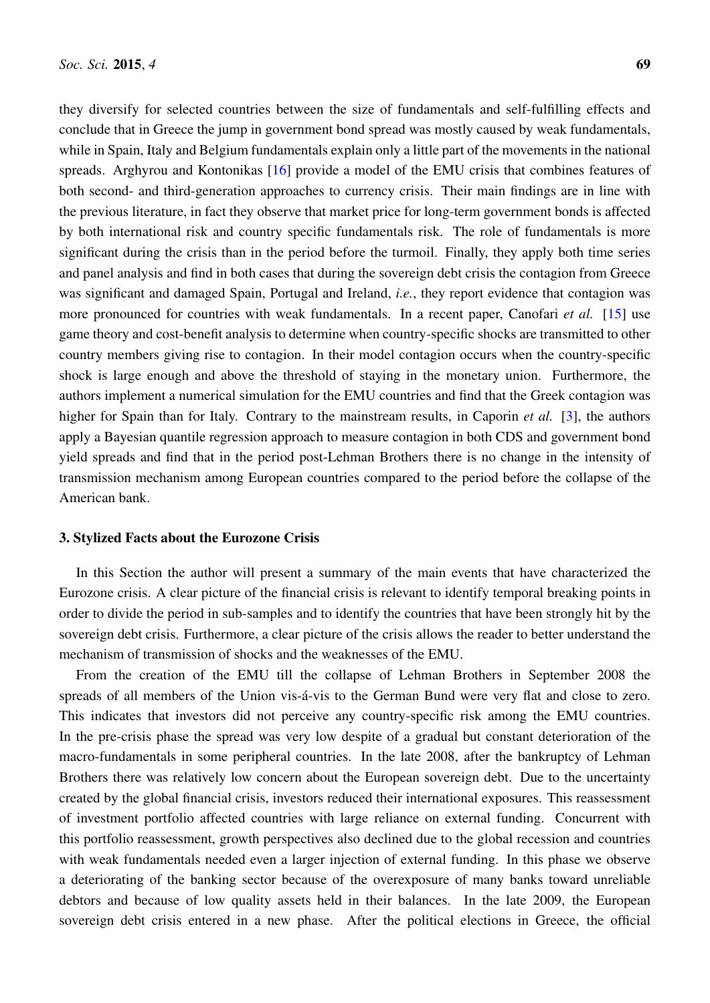they diversify for selected countries between the size of fundamentals and self-fulfilling effects and conclude that in Greece the jump in government bond spread was mostly caused by weak fundamentals, while in Spain, Italy and Belgium fundamentals explain only a little part of the movements in the national spreads. Arghyrou and Kontonikas [\[16\]](#page-15-5) provide a model of the EMU crisis that combines features of both second- and third-generation approaches to currency crisis. Their main findings are in line with the previous literature, in fact they observe that market price for long-term government bonds is affected by both international risk and country specific fundamentals risk. The role of fundamentals is more significant during the crisis than in the period before the turmoil. Finally, they apply both time series and panel analysis and find in both cases that during the sovereign debt crisis the contagion from Greece was significant and damaged Spain, Portugal and Ireland, *i.e.*, they report evidence that contagion was more pronounced for countries with weak fundamentals. In a recent paper, Canofari *et al.* [\[15\]](#page-15-8) use game theory and cost-benefit analysis to determine when country-specific shocks are transmitted to other country members giving rise to contagion. In their model contagion occurs when the country-specific shock is large enough and above the threshold of staying in the monetary union. Furthermore, the authors implement a numerical simulation for the EMU countries and find that the Greek contagion was higher for Spain than for Italy. Contrary to the mainstream results, in Caporin *et al.* [\[3\]](#page-14-2), the authors apply a Bayesian quantile regression approach to measure contagion in both CDS and government bond yield spreads and find that in the period post-Lehman Brothers there is no change in the intensity of transmission mechanism among European countries compared to the period before the collapse of the American bank.

#### <span id="page-3-0"></span>3. Stylized Facts about the Eurozone Crisis

In this Section the author will present a summary of the main events that have characterized the Eurozone crisis. A clear picture of the financial crisis is relevant to identify temporal breaking points in order to divide the period in sub-samples and to identify the countries that have been strongly hit by the sovereign debt crisis. Furthermore, a clear picture of the crisis allows the reader to better understand the mechanism of transmission of shocks and the weaknesses of the EMU.

From the creation of the EMU till the collapse of Lehman Brothers in September 2008 the spreads of all members of the Union vis-á-vis to the German Bund were very flat and close to zero. This indicates that investors did not perceive any country-specific risk among the EMU countries. In the pre-crisis phase the spread was very low despite of a gradual but constant deterioration of the macro-fundamentals in some peripheral countries. In the late 2008, after the bankruptcy of Lehman Brothers there was relatively low concern about the European sovereign debt. Due to the uncertainty created by the global financial crisis, investors reduced their international exposures. This reassessment of investment portfolio affected countries with large reliance on external funding. Concurrent with this portfolio reassessment, growth perspectives also declined due to the global recession and countries with weak fundamentals needed even a larger injection of external funding. In this phase we observe a deteriorating of the banking sector because of the overexposure of many banks toward unreliable debtors and because of low quality assets held in their balances. In the late 2009, the European sovereign debt crisis entered in a new phase. After the political elections in Greece, the official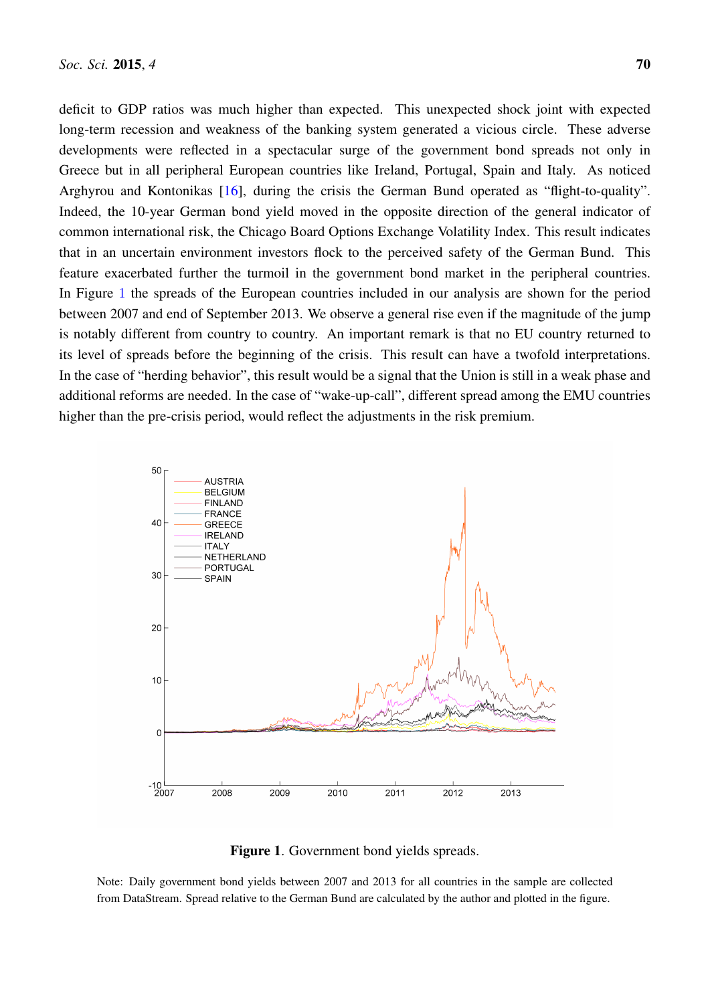deficit to GDP ratios was much higher than expected. This unexpected shock joint with expected long-term recession and weakness of the banking system generated a vicious circle. These adverse developments were reflected in a spectacular surge of the government bond spreads not only in Greece but in all peripheral European countries like Ireland, Portugal, Spain and Italy. As noticed Arghyrou and Kontonikas [\[16\]](#page-15-5), during the crisis the German Bund operated as "flight-to-quality". Indeed, the 10-year German bond yield moved in the opposite direction of the general indicator of common international risk, the Chicago Board Options Exchange Volatility Index. This result indicates that in an uncertain environment investors flock to the perceived safety of the German Bund. This feature exacerbated further the turmoil in the government bond market in the peripheral countries. In Figure [1](#page-4-0) the spreads of the European countries included in our analysis are shown for the period between 2007 and end of September 2013. We observe a general rise even if the magnitude of the jump is notably different from country to country. An important remark is that no EU country returned to its level of spreads before the beginning of the crisis. This result can have a twofold interpretations. In the case of "herding behavior", this result would be a signal that the Union is still in a weak phase and additional reforms are needed. In the case of "wake-up-call", different spread among the EMU countries higher than the pre-crisis period, would reflect the adjustments in the risk premium.

<span id="page-4-0"></span>

Figure 1. Government bond yields spreads.

Note: Daily government bond yields between 2007 and 2013 for all countries in the sample are collected from DataStream. Spread relative to the German Bund are calculated by the author and plotted in the figure.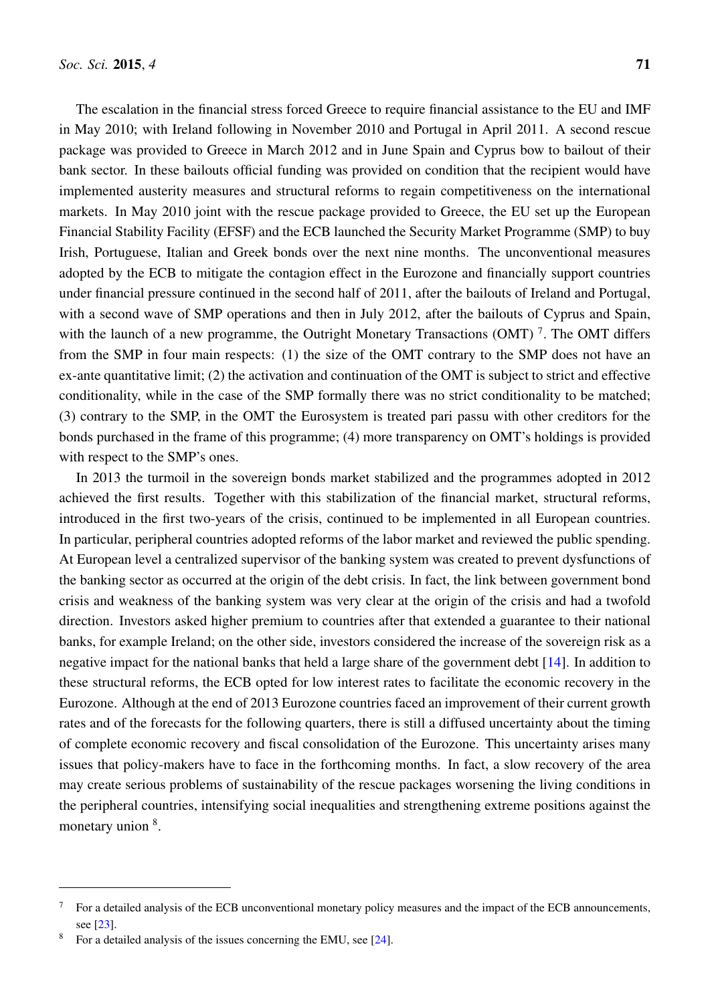The escalation in the financial stress forced Greece to require financial assistance to the EU and IMF in May 2010; with Ireland following in November 2010 and Portugal in April 2011. A second rescue package was provided to Greece in March 2012 and in June Spain and Cyprus bow to bailout of their bank sector. In these bailouts official funding was provided on condition that the recipient would have implemented austerity measures and structural reforms to regain competitiveness on the international markets. In May 2010 joint with the rescue package provided to Greece, the EU set up the European Financial Stability Facility (EFSF) and the ECB launched the Security Market Programme (SMP) to buy Irish, Portuguese, Italian and Greek bonds over the next nine months. The unconventional measures adopted by the ECB to mitigate the contagion effect in the Eurozone and financially support countries under financial pressure continued in the second half of 2011, after the bailouts of Ireland and Portugal, with a second wave of SMP operations and then in July 2012, after the bailouts of Cyprus and Spain, with the launch of a new programme, the Outright Monetary Transactions (OMT)<sup>7</sup>. The OMT differs from the SMP in four main respects: (1) the size of the OMT contrary to the SMP does not have an ex-ante quantitative limit; (2) the activation and continuation of the OMT is subject to strict and effective conditionality, while in the case of the SMP formally there was no strict conditionality to be matched; (3) contrary to the SMP, in the OMT the Eurosystem is treated pari passu with other creditors for the bonds purchased in the frame of this programme; (4) more transparency on OMT's holdings is provided with respect to the SMP's ones.

In 2013 the turmoil in the sovereign bonds market stabilized and the programmes adopted in 2012 achieved the first results. Together with this stabilization of the financial market, structural reforms, introduced in the first two-years of the crisis, continued to be implemented in all European countries. In particular, peripheral countries adopted reforms of the labor market and reviewed the public spending. At European level a centralized supervisor of the banking system was created to prevent dysfunctions of the banking sector as occurred at the origin of the debt crisis. In fact, the link between government bond crisis and weakness of the banking system was very clear at the origin of the crisis and had a twofold direction. Investors asked higher premium to countries after that extended a guarantee to their national banks, for example Ireland; on the other side, investors considered the increase of the sovereign risk as a negative impact for the national banks that held a large share of the government debt [\[14\]](#page-15-1). In addition to these structural reforms, the ECB opted for low interest rates to facilitate the economic recovery in the Eurozone. Although at the end of 2013 Eurozone countries faced an improvement of their current growth rates and of the forecasts for the following quarters, there is still a diffused uncertainty about the timing of complete economic recovery and fiscal consolidation of the Eurozone. This uncertainty arises many issues that policy-makers have to face in the forthcoming months. In fact, a slow recovery of the area may create serious problems of sustainability of the rescue packages worsening the living conditions in the peripheral countries, intensifying social inequalities and strengthening extreme positions against the monetary union <sup>8</sup>.

 $7$  For a detailed analysis of the ECB unconventional monetary policy measures and the impact of the ECB announcements, see [\[23\]](#page-16-0).

<sup>&</sup>lt;sup>8</sup> For a detailed analysis of the issues concerning the EMU, see [\[24\]](#page-16-1).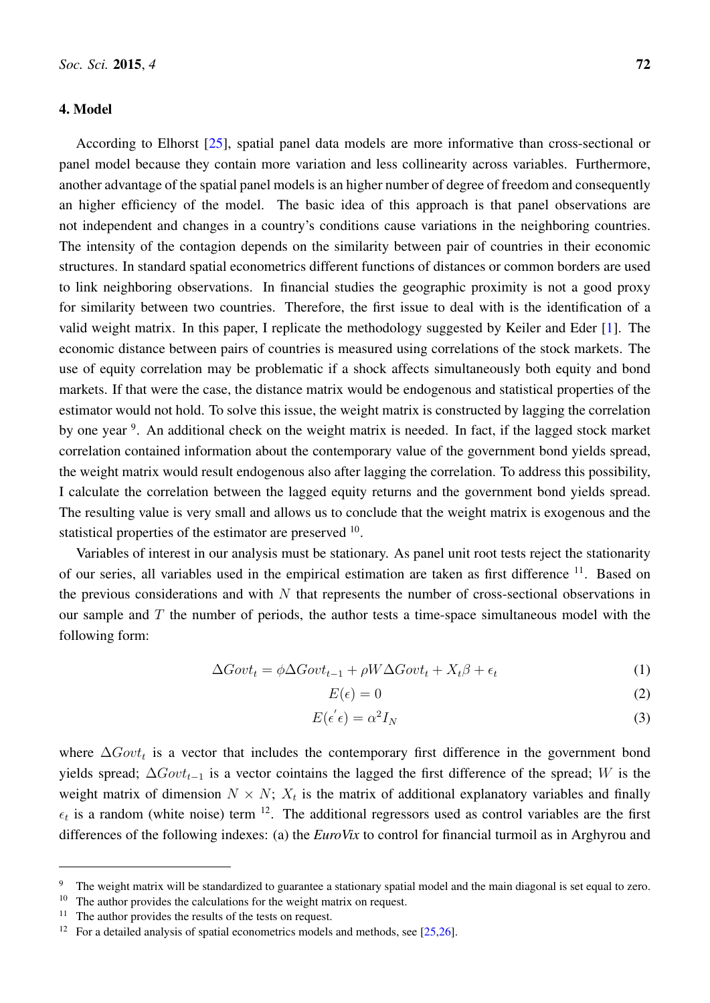#### <span id="page-6-0"></span>4. Model

According to Elhorst [\[25\]](#page-16-2), spatial panel data models are more informative than cross-sectional or panel model because they contain more variation and less collinearity across variables. Furthermore, another advantage of the spatial panel models is an higher number of degree of freedom and consequently an higher efficiency of the model. The basic idea of this approach is that panel observations are not independent and changes in a country's conditions cause variations in the neighboring countries. The intensity of the contagion depends on the similarity between pair of countries in their economic structures. In standard spatial econometrics different functions of distances or common borders are used to link neighboring observations. In financial studies the geographic proximity is not a good proxy for similarity between two countries. Therefore, the first issue to deal with is the identification of a valid weight matrix. In this paper, I replicate the methodology suggested by Keiler and Eder [\[1\]](#page-14-0). The economic distance between pairs of countries is measured using correlations of the stock markets. The use of equity correlation may be problematic if a shock affects simultaneously both equity and bond markets. If that were the case, the distance matrix would be endogenous and statistical properties of the estimator would not hold. To solve this issue, the weight matrix is constructed by lagging the correlation by one year <sup>9</sup>. An additional check on the weight matrix is needed. In fact, if the lagged stock market correlation contained information about the contemporary value of the government bond yields spread, the weight matrix would result endogenous also after lagging the correlation. To address this possibility, I calculate the correlation between the lagged equity returns and the government bond yields spread. The resulting value is very small and allows us to conclude that the weight matrix is exogenous and the statistical properties of the estimator are preserved <sup>10</sup>.

Variables of interest in our analysis must be stationary. As panel unit root tests reject the stationarity of our series, all variables used in the empirical estimation are taken as first difference <sup>11</sup>. Based on the previous considerations and with  $N$  that represents the number of cross-sectional observations in our sample and  $T$  the number of periods, the author tests a time-space simultaneous model with the following form:

$$
\Delta Gov t_t = \phi \Delta Gov t_{t-1} + \rho W \Delta Gov t_t + X_t \beta + \epsilon_t \tag{1}
$$

<span id="page-6-1"></span>
$$
E(\epsilon) = 0 \tag{2}
$$

$$
E(\epsilon^{'}\epsilon) = \alpha^2 I_N \tag{3}
$$

where  $\Delta Gov_t$  is a vector that includes the contemporary first difference in the government bond yields spread;  $\Delta Gov_{t-1}$  is a vector cointains the lagged the first difference of the spread; W is the weight matrix of dimension  $N \times N$ ;  $X_t$  is the matrix of additional explanatory variables and finally  $\epsilon_t$  is a random (white noise) term <sup>12</sup>. The additional regressors used as control variables are the first differences of the following indexes: (a) the *EuroVix* to control for financial turmoil as in Arghyrou and

<sup>&</sup>lt;sup>9</sup> The weight matrix will be standardized to guarantee a stationary spatial model and the main diagonal is set equal to zero.

 $10$  The author provides the calculations for the weight matrix on request.

The author provides the results of the tests on request.

<sup>&</sup>lt;sup>12</sup> For a detailed analysis of spatial econometrics models and methods, see [ $25,26$ ].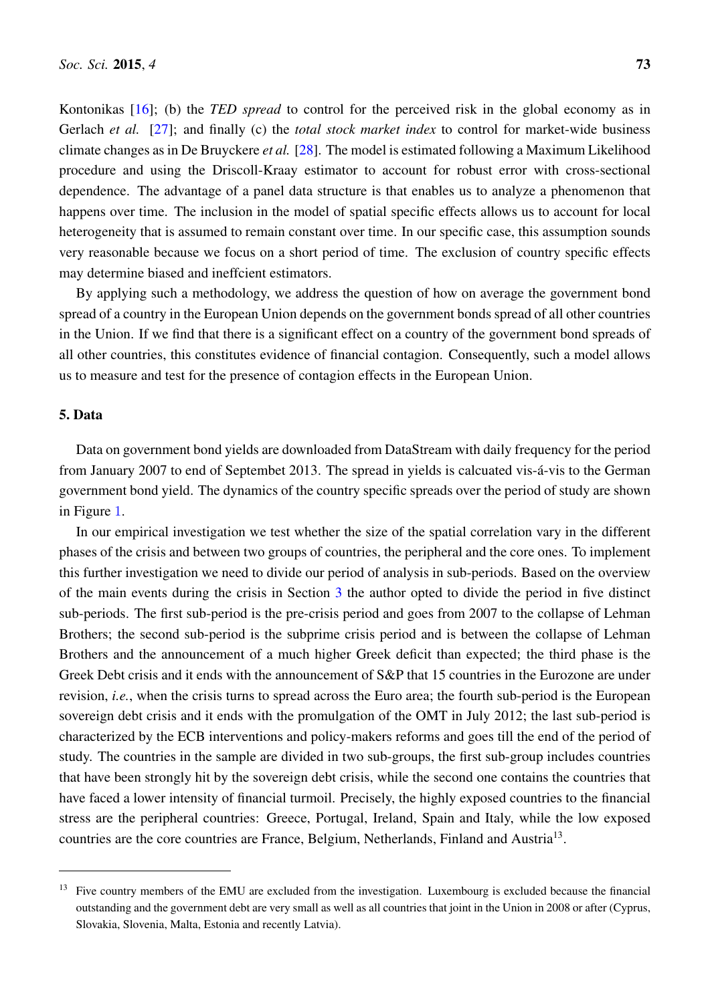Kontonikas [\[16\]](#page-15-5); (b) the *TED spread* to control for the perceived risk in the global economy as in Gerlach *et al.* [\[27\]](#page-16-4); and finally (c) the *total stock market index* to control for market-wide business climate changes as in De Bruyckere *et al.* [\[28\]](#page-16-5). The model is estimated following a Maximum Likelihood procedure and using the Driscoll-Kraay estimator to account for robust error with cross-sectional dependence. The advantage of a panel data structure is that enables us to analyze a phenomenon that happens over time. The inclusion in the model of spatial specific effects allows us to account for local heterogeneity that is assumed to remain constant over time. In our specific case, this assumption sounds very reasonable because we focus on a short period of time. The exclusion of country specific effects may determine biased and ineffcient estimators.

By applying such a methodology, we address the question of how on average the government bond spread of a country in the European Union depends on the government bonds spread of all other countries in the Union. If we find that there is a significant effect on a country of the government bond spreads of all other countries, this constitutes evidence of financial contagion. Consequently, such a model allows us to measure and test for the presence of contagion effects in the European Union.

#### <span id="page-7-0"></span>5. Data

Data on government bond yields are downloaded from DataStream with daily frequency for the period from January 2007 to end of Septembet 2013. The spread in yields is calcuated vis-á-vis to the German government bond yield. The dynamics of the country specific spreads over the period of study are shown in Figure [1](#page-4-0).

In our empirical investigation we test whether the size of the spatial correlation vary in the different phases of the crisis and between two groups of countries, the peripheral and the core ones. To implement this further investigation we need to divide our period of analysis in sub-periods. Based on the overview of the main events during the crisis in Section [3](#page-3-0) the author opted to divide the period in five distinct sub-periods. The first sub-period is the pre-crisis period and goes from 2007 to the collapse of Lehman Brothers; the second sub-period is the subprime crisis period and is between the collapse of Lehman Brothers and the announcement of a much higher Greek deficit than expected; the third phase is the Greek Debt crisis and it ends with the announcement of S&P that 15 countries in the Eurozone are under revision, *i.e.*, when the crisis turns to spread across the Euro area; the fourth sub-period is the European sovereign debt crisis and it ends with the promulgation of the OMT in July 2012; the last sub-period is characterized by the ECB interventions and policy-makers reforms and goes till the end of the period of study. The countries in the sample are divided in two sub-groups, the first sub-group includes countries that have been strongly hit by the sovereign debt crisis, while the second one contains the countries that have faced a lower intensity of financial turmoil. Precisely, the highly exposed countries to the financial stress are the peripheral countries: Greece, Portugal, Ireland, Spain and Italy, while the low exposed countries are the core countries are France, Belgium, Netherlands, Finland and Austria<sup>13</sup>.

<sup>&</sup>lt;sup>13</sup> Five country members of the EMU are excluded from the investigation. Luxembourg is excluded because the financial outstanding and the government debt are very small as well as all countries that joint in the Union in 2008 or after (Cyprus, Slovakia, Slovenia, Malta, Estonia and recently Latvia).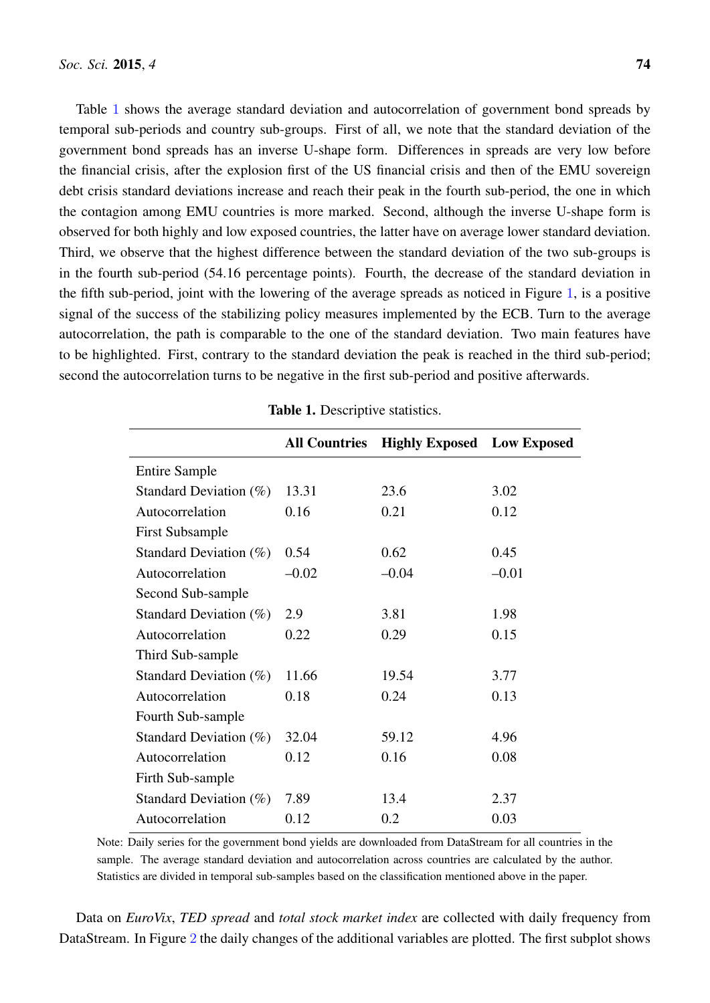Table [1](#page-8-0) shows the average standard deviation and autocorrelation of government bond spreads by temporal sub-periods and country sub-groups. First of all, we note that the standard deviation of the government bond spreads has an inverse U-shape form. Differences in spreads are very low before the financial crisis, after the explosion first of the US financial crisis and then of the EMU sovereign debt crisis standard deviations increase and reach their peak in the fourth sub-period, the one in which the contagion among EMU countries is more marked. Second, although the inverse U-shape form is observed for both highly and low exposed countries, the latter have on average lower standard deviation. Third, we observe that the highest difference between the standard deviation of the two sub-groups is in the fourth sub-period (54.16 percentage points). Fourth, the decrease of the standard deviation in the fifth sub-period, joint with the lowering of the average spreads as noticed in Figure [1](#page-4-0), is a positive signal of the success of the stabilizing policy measures implemented by the ECB. Turn to the average autocorrelation, the path is comparable to the one of the standard deviation. Two main features have to be highlighted. First, contrary to the standard deviation the peak is reached in the third sub-period; second the autocorrelation turns to be negative in the first sub-period and positive afterwards.

<span id="page-8-0"></span>

|                           | <b>All Countries</b> | <b>Highly Exposed</b> Low Exposed |         |
|---------------------------|----------------------|-----------------------------------|---------|
| <b>Entire Sample</b>      |                      |                                   |         |
| Standard Deviation $(\%)$ | 13.31                | 23.6                              | 3.02    |
| Autocorrelation           | 0.16                 | 0.21                              | 0.12    |
| <b>First Subsample</b>    |                      |                                   |         |
| Standard Deviation $(\%)$ | 0.54                 | 0.62                              | 0.45    |
| Autocorrelation           | $-0.02$              | $-0.04$                           | $-0.01$ |
| Second Sub-sample         |                      |                                   |         |
| Standard Deviation $(\%)$ | 2.9                  | 3.81                              | 1.98    |
| Autocorrelation           | 0.22                 | 0.29                              | 0.15    |
| Third Sub-sample          |                      |                                   |         |
| Standard Deviation $(\%)$ | 11.66                | 19.54                             | 3.77    |
| Autocorrelation           | 0.18                 | 0.24                              | 0.13    |
| Fourth Sub-sample         |                      |                                   |         |
| Standard Deviation $(\%)$ | 32.04                | 59.12                             | 4.96    |
| Autocorrelation           | 0.12                 | 0.16                              | 0.08    |
| Firth Sub-sample          |                      |                                   |         |
| Standard Deviation $(\%)$ | 7.89                 | 13.4                              | 2.37    |
| Autocorrelation           | 0.12                 | 0.2                               | 0.03    |

|  | Table 1. Descriptive statistics. |  |
|--|----------------------------------|--|
|--|----------------------------------|--|

Note: Daily series for the government bond yields are downloaded from DataStream for all countries in the sample. The average standard deviation and autocorrelation across countries are calculated by the author. Statistics are divided in temporal sub-samples based on the classification mentioned above in the paper.

Data on *EuroVix*, *TED spread* and *total stock market index* are collected with daily frequency from DataStream. In Figure [2](#page-9-0) the daily changes of the additional variables are plotted. The first subplot shows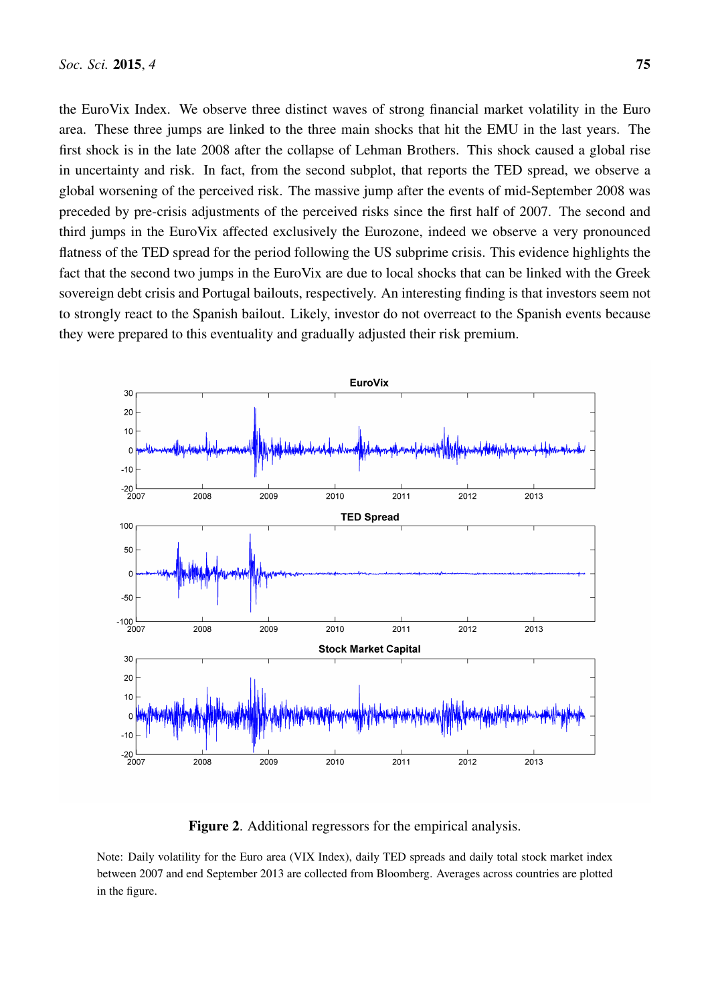the EuroVix Index. We observe three distinct waves of strong financial market volatility in the Euro area. These three jumps are linked to the three main shocks that hit the EMU in the last years. The first shock is in the late 2008 after the collapse of Lehman Brothers. This shock caused a global rise in uncertainty and risk. In fact, from the second subplot, that reports the TED spread, we observe a global worsening of the perceived risk. The massive jump after the events of mid-September 2008 was preceded by pre-crisis adjustments of the perceived risks since the first half of 2007. The second and third jumps in the EuroVix affected exclusively the Eurozone, indeed we observe a very pronounced flatness of the TED spread for the period following the US subprime crisis. This evidence highlights the fact that the second two jumps in the EuroVix are due to local shocks that can be linked with the Greek sovereign debt crisis and Portugal bailouts, respectively. An interesting finding is that investors seem not to strongly react to the Spanish bailout. Likely, investor do not overreact to the Spanish events because they were prepared to this eventuality and gradually adjusted their risk premium.

<span id="page-9-0"></span>

Figure 2. Additional regressors for the empirical analysis.

Note: Daily volatility for the Euro area (VIX Index), daily TED spreads and daily total stock market index between 2007 and end September 2013 are collected from Bloomberg. Averages across countries are plotted in the figure.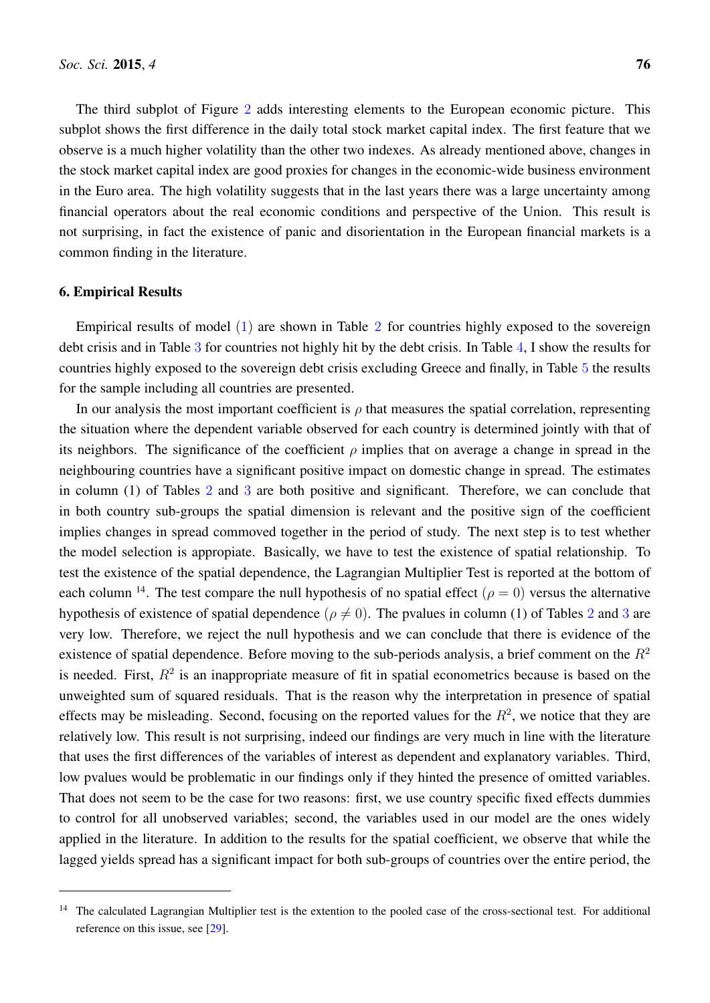The third subplot of Figure [2](#page-9-0) adds interesting elements to the European economic picture. This subplot shows the first difference in the daily total stock market capital index. The first feature that we observe is a much higher volatility than the other two indexes. As already mentioned above, changes in the stock market capital index are good proxies for changes in the economic-wide business environment in the Euro area. The high volatility suggests that in the last years there was a large uncertainty among financial operators about the real economic conditions and perspective of the Union. This result is not surprising, in fact the existence of panic and disorientation in the European financial markets is a common finding in the literature.

#### <span id="page-10-0"></span>6. Empirical Results

Empirical results of model [\(1\)](#page-6-1) are shown in Table [2](#page-11-0) for countries highly exposed to the sovereign debt crisis and in Table [3](#page-11-1) for countries not highly hit by the debt crisis. In Table [4](#page-12-0), I show the results for countries highly exposed to the sovereign debt crisis excluding Greece and finally, in Table [5](#page-12-1) the results for the sample including all countries are presented.

In our analysis the most important coefficient is  $\rho$  that measures the spatial correlation, representing the situation where the dependent variable observed for each country is determined jointly with that of its neighbors. The significance of the coefficient  $\rho$  implies that on average a change in spread in the neighbouring countries have a significant positive impact on domestic change in spread. The estimates in column (1) of Tables [2](#page-11-0) and [3](#page-11-1) are both positive and significant. Therefore, we can conclude that in both country sub-groups the spatial dimension is relevant and the positive sign of the coefficient implies changes in spread commoved together in the period of study. The next step is to test whether the model selection is appropiate. Basically, we have to test the existence of spatial relationship. To test the existence of the spatial dependence, the Lagrangian Multiplier Test is reported at the bottom of each column <sup>14</sup>. The test compare the null hypothesis of no spatial effect ( $\rho = 0$ ) versus the alternative hypothesis of existence of spatial dependence ( $\rho \neq 0$ ). The pvalues in column (1) of Tables [2](#page-11-0) and [3](#page-11-1) are very low. Therefore, we reject the null hypothesis and we can conclude that there is evidence of the existence of spatial dependence. Before moving to the sub-periods analysis, a brief comment on the  $R<sup>2</sup>$ is needed. First,  $R^2$  is an inappropriate measure of fit in spatial econometrics because is based on the unweighted sum of squared residuals. That is the reason why the interpretation in presence of spatial effects may be misleading. Second, focusing on the reported values for the  $R^2$ , we notice that they are relatively low. This result is not surprising, indeed our findings are very much in line with the literature that uses the first differences of the variables of interest as dependent and explanatory variables. Third, low pvalues would be problematic in our findings only if they hinted the presence of omitted variables. That does not seem to be the case for two reasons: first, we use country specific fixed effects dummies to control for all unobserved variables; second, the variables used in our model are the ones widely applied in the literature. In addition to the results for the spatial coefficient, we observe that while the lagged yields spread has a significant impact for both sub-groups of countries over the entire period, the

The calculated Lagrangian Multiplier test is the extention to the pooled case of the cross-sectional test. For additional reference on this issue, see [\[29\]](#page-16-6).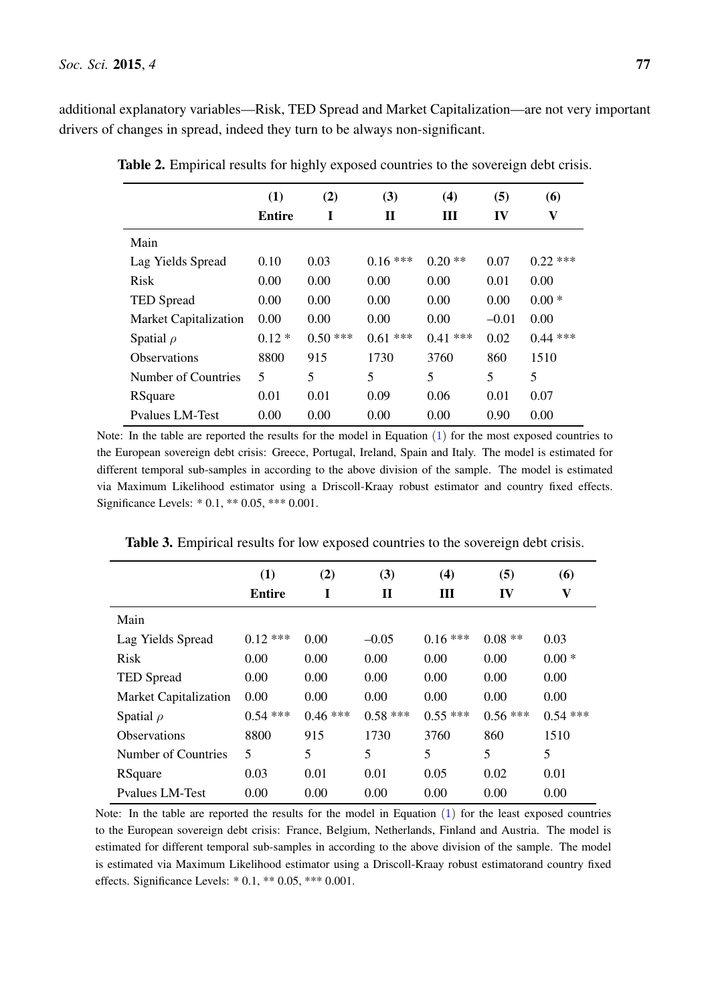<span id="page-11-0"></span>additional explanatory variables—Risk, TED Spread and Market Capitalization—are not very important drivers of changes in spread, indeed they turn to be always non-significant.

|                              | (1)           | (2)        | (3)        | (4)       | (5)     | (6)          |
|------------------------------|---------------|------------|------------|-----------|---------|--------------|
|                              | <b>Entire</b> | I          | П          | Ш         | IV      | $\mathbf{V}$ |
| Main                         |               |            |            |           |         |              |
| Lag Yields Spread            | 0.10          | 0.03       | $0.16***$  | $0.20**$  | 0.07    | $0.22$ ***   |
| <b>Risk</b>                  | 0.00          | 0.00       | 0.00       | 0.00      | 0.01    | 0.00         |
| <b>TED Spread</b>            | 0.00          | 0.00       | 0.00       | 0.00      | 0.00    | $0.00*$      |
| <b>Market Capitalization</b> | 0.00          | 0.00       | 0.00       | 0.00      | $-0.01$ | 0.00         |
| Spatial $\rho$               | $0.12*$       | $0.50$ *** | $0.61$ *** | $0.41***$ | 0.02    | $0.44$ ***   |
| <b>Observations</b>          | 8800          | 915        | 1730       | 3760      | 860     | 1510         |
| Number of Countries          | 5             | 5          | 5          | 5         | 5       | 5            |
| RSquare                      | 0.01          | 0.01       | 0.09       | 0.06      | 0.01    | 0.07         |
| <b>Pvalues LM-Test</b>       | 0.00          | 0.00       | 0.00       | 0.00      | 0.90    | 0.00         |

Table 2. Empirical results for highly exposed countries to the sovereign debt crisis.

Note: In the table are reported the results for the model in Equation [\(1\)](#page-6-1) for the most exposed countries to the European sovereign debt crisis: Greece, Portugal, Ireland, Spain and Italy. The model is estimated for different temporal sub-samples in according to the above division of the sample. The model is estimated via Maximum Likelihood estimator using a Driscoll-Kraay robust estimator and country fixed effects. Significance Levels: \* 0.1, \*\* 0.05, \*\*\* 0.001.

<span id="page-11-1"></span>

|                              | (1)           | (2)        | (3)       | (4)       | (5)       | (6)                       |
|------------------------------|---------------|------------|-----------|-----------|-----------|---------------------------|
|                              | <b>Entire</b> | I          | П         | Ш         | IV        | $\boldsymbol{\mathrm{V}}$ |
| Main                         |               |            |           |           |           |                           |
| Lag Yields Spread            | $0.12***$     | 0.00       | $-0.05$   | $0.16***$ | $0.08**$  | 0.03                      |
| <b>Risk</b>                  | 0.00          | 0.00       | 0.00      | 0.00      | 0.00      | $0.00*$                   |
| <b>TED</b> Spread            | 0.00          | 0.00       | 0.00      | 0.00      | 0.00      | 0.00                      |
| <b>Market Capitalization</b> | 0.00          | 0.00       | 0.00      | 0.00      | 0.00      | 0.00                      |
| Spatial $\rho$               | $0.54$ ***    | $0.46$ *** | $0.58***$ | $0.55***$ | $0.56***$ | $0.54$ ***                |
| <b>Observations</b>          | 8800          | 915        | 1730      | 3760      | 860       | 1510                      |
| Number of Countries          | 5             | 5          | 5         | 5         | 5         | 5                         |
| RSquare                      | 0.03          | 0.01       | 0.01      | 0.05      | 0.02      | 0.01                      |
| <b>Pyalues LM-Test</b>       | 0.00          | 0.00       | 0.00      | 0.00      | 0.00      | 0.00                      |

Table 3. Empirical results for low exposed countries to the sovereign debt crisis.

Note: In the table are reported the results for the model in Equation [\(1\)](#page-6-1) for the least exposed countries to the European sovereign debt crisis: France, Belgium, Netherlands, Finland and Austria. The model is estimated for different temporal sub-samples in according to the above division of the sample. The model is estimated via Maximum Likelihood estimator using a Driscoll-Kraay robust estimatorand country fixed effects. Significance Levels: \* 0.1, \*\* 0.05, \*\*\* 0.001.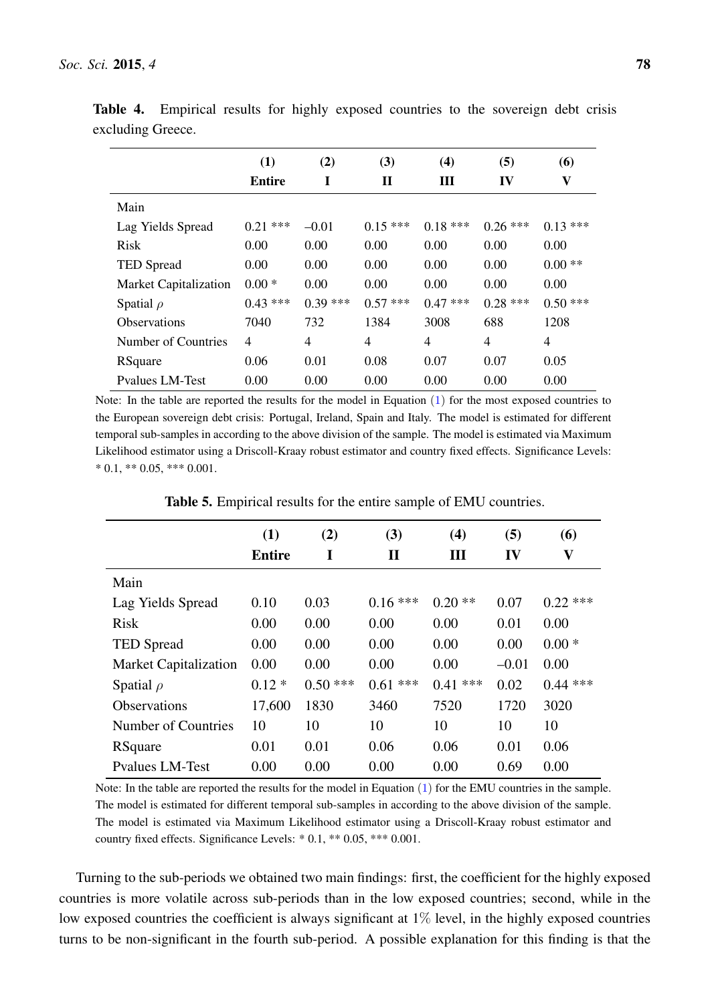|                              | (1)           | (2)       | (3)            | (4)        | (5)        | (6)        |
|------------------------------|---------------|-----------|----------------|------------|------------|------------|
|                              | <b>Entire</b> |           | $\mathbf H$    | Ш          | IV         | V          |
| Main                         |               |           |                |            |            |            |
| Lag Yields Spread            | $0.21$ ***    | $-0.01$   | $0.15***$      | $0.18***$  | $0.26$ *** | $0.13***$  |
| <b>Risk</b>                  | 0.00          | 0.00      | 0.00           | 0.00       | 0.00       | 0.00       |
| <b>TED</b> Spread            | 0.00          | 0.00      | 0.00           | 0.00       | 0.00       | $0.00**$   |
| <b>Market Capitalization</b> | $0.00*$       | 0.00      | 0.00           | 0.00       | 0.00       | 0.00       |
| Spatial $\rho$               | $0.43***$     | $0.39***$ | $0.57$ ***     | $0.47$ *** | $0.28$ *** | $0.50$ *** |
| <b>Observations</b>          | 7040          | 732       | 1384           | 3008       | 688        | 1208       |
| Number of Countries          | 4             | 4         | $\overline{4}$ | 4          | 4          | 4          |
| RSquare                      | 0.06          | 0.01      | 0.08           | 0.07       | 0.07       | 0.05       |
| <b>Pyalues LM-Test</b>       | 0.00          | 0.00      | 0.00           | 0.00       | 0.00       | 0.00       |

<span id="page-12-0"></span>Table 4. Empirical results for highly exposed countries to the sovereign debt crisis excluding Greece.

Note: In the table are reported the results for the model in Equation [\(1\)](#page-6-1) for the most exposed countries to the European sovereign debt crisis: Portugal, Ireland, Spain and Italy. The model is estimated for different temporal sub-samples in according to the above division of the sample. The model is estimated via Maximum Likelihood estimator using a Driscoll-Kraay robust estimator and country fixed effects. Significance Levels:  $*$  0.1,  $**$  0.05,  $***$  0.001.

<span id="page-12-1"></span>

|                              | (1)           | (2)        | (3)          | (4)        | (5)     | (6)         |
|------------------------------|---------------|------------|--------------|------------|---------|-------------|
|                              | <b>Entire</b> |            | $\mathbf{I}$ | Ш          | IV      | $\mathbf V$ |
| Main                         |               |            |              |            |         |             |
| Lag Yields Spread            | 0.10          | 0.03       | $0.16***$    | $0.20**$   | 0.07    | $0.22$ ***  |
| <b>Risk</b>                  | 0.00          | 0.00       | 0.00         | 0.00       | 0.01    | 0.00        |
| <b>TED</b> Spread            | 0.00          | 0.00       | 0.00         | 0.00       | 0.00    | $0.00*$     |
| <b>Market Capitalization</b> | 0.00          | 0.00       | 0.00         | 0.00       | $-0.01$ | 0.00        |
| Spatial $\rho$               | $0.12*$       | $0.50$ *** | $0.61$ ***   | $0.41$ *** | 0.02    | $0.44$ ***  |
| <b>Observations</b>          | 17,600        | 1830       | 3460         | 7520       | 1720    | 3020        |
| Number of Countries          | 10            | 10         | 10           | 10         | 10      | 10          |
| RSquare                      | 0.01          | 0.01       | 0.06         | 0.06       | 0.01    | 0.06        |
| <b>Pyalues LM-Test</b>       | 0.00          | 0.00       | 0.00         | 0.00       | 0.69    | 0.00        |

Table 5. Empirical results for the entire sample of EMU countries.

Note: In the table are reported the results for the model in Equation [\(1\)](#page-6-1) for the EMU countries in the sample. The model is estimated for different temporal sub-samples in according to the above division of the sample. The model is estimated via Maximum Likelihood estimator using a Driscoll-Kraay robust estimator and country fixed effects. Significance Levels: \* 0.1, \*\* 0.05, \*\*\* 0.001.

Turning to the sub-periods we obtained two main findings: first, the coefficient for the highly exposed countries is more volatile across sub-periods than in the low exposed countries; second, while in the low exposed countries the coefficient is always significant at  $1\%$  level, in the highly exposed countries turns to be non-significant in the fourth sub-period. A possible explanation for this finding is that the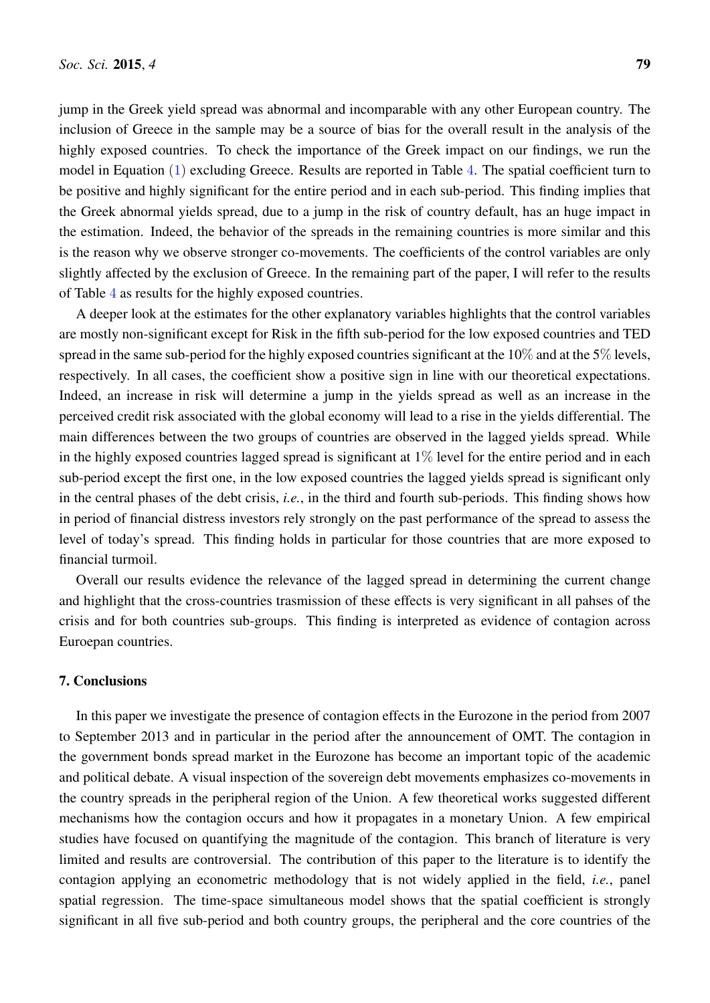jump in the Greek yield spread was abnormal and incomparable with any other European country. The inclusion of Greece in the sample may be a source of bias for the overall result in the analysis of the highly exposed countries. To check the importance of the Greek impact on our findings, we run the model in Equation [\(1\)](#page-6-1) excluding Greece. Results are reported in Table [4](#page-12-0). The spatial coefficient turn to be positive and highly significant for the entire period and in each sub-period. This finding implies that the Greek abnormal yields spread, due to a jump in the risk of country default, has an huge impact in the estimation. Indeed, the behavior of the spreads in the remaining countries is more similar and this is the reason why we observe stronger co-movements. The coefficients of the control variables are only slightly affected by the exclusion of Greece. In the remaining part of the paper, I will refer to the results of Table [4](#page-12-0) as results for the highly exposed countries.

A deeper look at the estimates for the other explanatory variables highlights that the control variables are mostly non-significant except for Risk in the fifth sub-period for the low exposed countries and TED spread in the same sub-period for the highly exposed countries significant at the  $10\%$  and at the  $5\%$  levels, respectively. In all cases, the coefficient show a positive sign in line with our theoretical expectations. Indeed, an increase in risk will determine a jump in the yields spread as well as an increase in the perceived credit risk associated with the global economy will lead to a rise in the yields differential. The main differences between the two groups of countries are observed in the lagged yields spread. While in the highly exposed countries lagged spread is significant at  $1\%$  level for the entire period and in each sub-period except the first one, in the low exposed countries the lagged yields spread is significant only in the central phases of the debt crisis, *i.e.*, in the third and fourth sub-periods. This finding shows how in period of financial distress investors rely strongly on the past performance of the spread to assess the level of today's spread. This finding holds in particular for those countries that are more exposed to financial turmoil.

Overall our results evidence the relevance of the lagged spread in determining the current change and highlight that the cross-countries trasmission of these effects is very significant in all pahses of the crisis and for both countries sub-groups. This finding is interpreted as evidence of contagion across Euroepan countries.

#### <span id="page-13-0"></span>7. Conclusions

In this paper we investigate the presence of contagion effects in the Eurozone in the period from 2007 to September 2013 and in particular in the period after the announcement of OMT. The contagion in the government bonds spread market in the Eurozone has become an important topic of the academic and political debate. A visual inspection of the sovereign debt movements emphasizes co-movements in the country spreads in the peripheral region of the Union. A few theoretical works suggested different mechanisms how the contagion occurs and how it propagates in a monetary Union. A few empirical studies have focused on quantifying the magnitude of the contagion. This branch of literature is very limited and results are controversial. The contribution of this paper to the literature is to identify the contagion applying an econometric methodology that is not widely applied in the field, *i.e.*, panel spatial regression. The time-space simultaneous model shows that the spatial coefficient is strongly significant in all five sub-period and both country groups, the peripheral and the core countries of the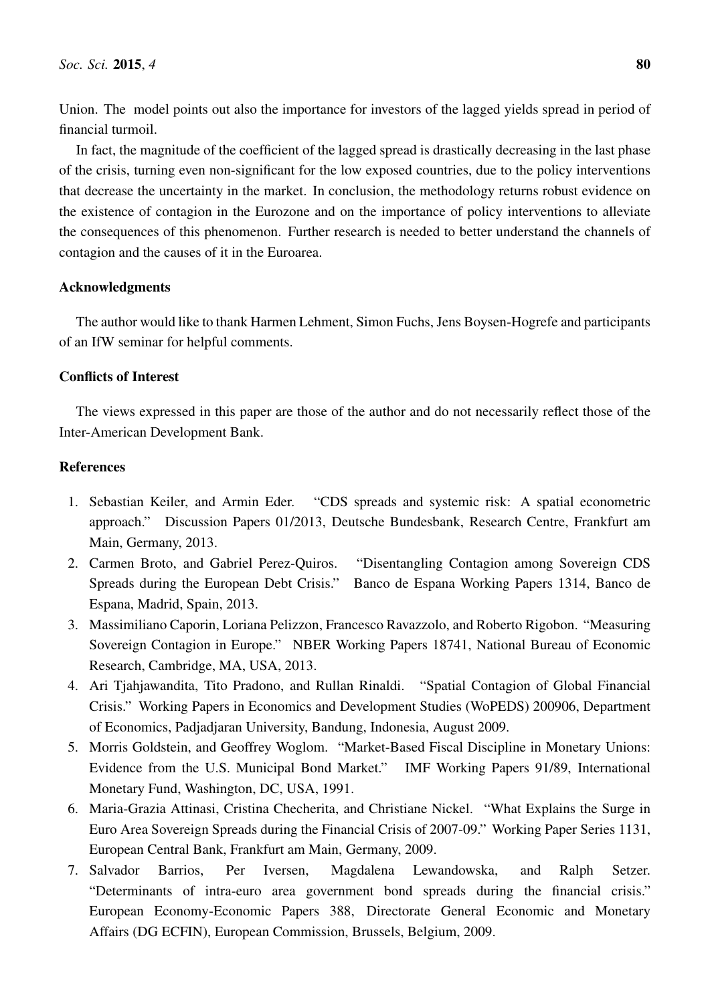Union. The model points out also the importance for investors of the lagged yields spread in period of financial turmoil.

In fact, the magnitude of the coefficient of the lagged spread is drastically decreasing in the last phase of the crisis, turning even non-significant for the low exposed countries, due to the policy interventions that decrease the uncertainty in the market. In conclusion, the methodology returns robust evidence on the existence of contagion in the Eurozone and on the importance of policy interventions to alleviate the consequences of this phenomenon. Further research is needed to better understand the channels of contagion and the causes of it in the Euroarea.

#### Acknowledgments

The author would like to thank Harmen Lehment, Simon Fuchs, Jens Boysen-Hogrefe and participants of an IfW seminar for helpful comments.

# Conflicts of Interest

The views expressed in this paper are those of the author and do not necessarily reflect those of the Inter-American Development Bank.

### References

- <span id="page-14-0"></span>1. Sebastian Keiler, and Armin Eder. "CDS spreads and systemic risk: A spatial econometric approach." Discussion Papers 01/2013, Deutsche Bundesbank, Research Centre, Frankfurt am Main, Germany, 2013.
- <span id="page-14-1"></span>2. Carmen Broto, and Gabriel Perez-Quiros. "Disentangling Contagion among Sovereign CDS Spreads during the European Debt Crisis." Banco de Espana Working Papers 1314, Banco de Espana, Madrid, Spain, 2013.
- <span id="page-14-2"></span>3. Massimiliano Caporin, Loriana Pelizzon, Francesco Ravazzolo, and Roberto Rigobon. "Measuring Sovereign Contagion in Europe." NBER Working Papers 18741, National Bureau of Economic Research, Cambridge, MA, USA, 2013.
- <span id="page-14-3"></span>4. Ari Tjahjawandita, Tito Pradono, and Rullan Rinaldi. "Spatial Contagion of Global Financial Crisis." Working Papers in Economics and Development Studies (WoPEDS) 200906, Department of Economics, Padjadjaran University, Bandung, Indonesia, August 2009.
- <span id="page-14-4"></span>5. Morris Goldstein, and Geoffrey Woglom. "Market-Based Fiscal Discipline in Monetary Unions: Evidence from the U.S. Municipal Bond Market." IMF Working Papers 91/89, International Monetary Fund, Washington, DC, USA, 1991.
- <span id="page-14-5"></span>6. Maria-Grazia Attinasi, Cristina Checherita, and Christiane Nickel. "What Explains the Surge in Euro Area Sovereign Spreads during the Financial Crisis of 2007-09." Working Paper Series 1131, European Central Bank, Frankfurt am Main, Germany, 2009.
- <span id="page-14-6"></span>7. Salvador Barrios, Per Iversen, Magdalena Lewandowska, and Ralph Setzer. "Determinants of intra-euro area government bond spreads during the financial crisis." European Economy-Economic Papers 388, Directorate General Economic and Monetary Affairs (DG ECFIN), European Commission, Brussels, Belgium, 2009.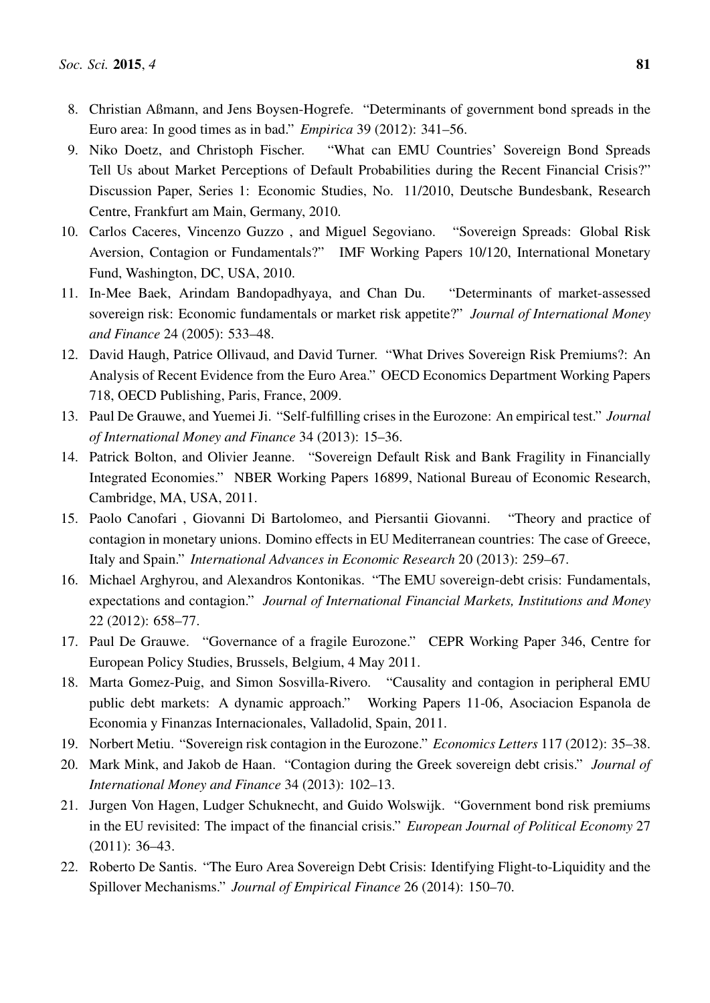- <span id="page-15-0"></span>8. Christian Aßmann, and Jens Boysen-Hogrefe. "Determinants of government bond spreads in the Euro area: In good times as in bad." *Empirica* 39 (2012): 341–56.
- <span id="page-15-3"></span>9. Niko Doetz, and Christoph Fischer. "What can EMU Countries' Sovereign Bond Spreads Tell Us about Market Perceptions of Default Probabilities during the Recent Financial Crisis?" Discussion Paper, Series 1: Economic Studies, No. 11/2010, Deutsche Bundesbank, Research Centre, Frankfurt am Main, Germany, 2010.
- 10. Carlos Caceres, Vincenzo Guzzo , and Miguel Segoviano. "Sovereign Spreads: Global Risk Aversion, Contagion or Fundamentals?" IMF Working Papers 10/120, International Monetary Fund, Washington, DC, USA, 2010.
- 11. In-Mee Baek, Arindam Bandopadhyaya, and Chan Du. "Determinants of market-assessed sovereign risk: Economic fundamentals or market risk appetite?" *Journal of International Money and Finance* 24 (2005): 533–48.
- <span id="page-15-4"></span>12. David Haugh, Patrice Ollivaud, and David Turner. "What Drives Sovereign Risk Premiums?: An Analysis of Recent Evidence from the Euro Area." OECD Economics Department Working Papers 718, OECD Publishing, Paris, France, 2009.
- <span id="page-15-2"></span>13. Paul De Grauwe, and Yuemei Ji. "Self-fulfilling crises in the Eurozone: An empirical test." *Journal of International Money and Finance* 34 (2013): 15–36.
- <span id="page-15-1"></span>14. Patrick Bolton, and Olivier Jeanne. "Sovereign Default Risk and Bank Fragility in Financially Integrated Economies." NBER Working Papers 16899, National Bureau of Economic Research, Cambridge, MA, USA, 2011.
- <span id="page-15-8"></span>15. Paolo Canofari , Giovanni Di Bartolomeo, and Piersantii Giovanni. "Theory and practice of contagion in monetary unions. Domino effects in EU Mediterranean countries: The case of Greece, Italy and Spain." *International Advances in Economic Research* 20 (2013): 259–67.
- <span id="page-15-5"></span>16. Michael Arghyrou, and Alexandros Kontonikas. "The EMU sovereign-debt crisis: Fundamentals, expectations and contagion." *Journal of International Financial Markets, Institutions and Money* 22 (2012): 658–77.
- <span id="page-15-6"></span>17. Paul De Grauwe. "Governance of a fragile Eurozone." CEPR Working Paper 346, Centre for European Policy Studies, Brussels, Belgium, 4 May 2011.
- 18. Marta Gomez-Puig, and Simon Sosvilla-Rivero. "Causality and contagion in peripheral EMU public debt markets: A dynamic approach." Working Papers 11-06, Asociacion Espanola de Economia y Finanzas Internacionales, Valladolid, Spain, 2011.
- 19. Norbert Metiu. "Sovereign risk contagion in the Eurozone." *Economics Letters* 117 (2012): 35–38.
- 20. Mark Mink, and Jakob de Haan. "Contagion during the Greek sovereign debt crisis." *Journal of International Money and Finance* 34 (2013): 102–13.
- 21. Jurgen Von Hagen, Ludger Schuknecht, and Guido Wolswijk. "Government bond risk premiums in the EU revisited: The impact of the financial crisis." *European Journal of Political Economy* 27 (2011): 36–43.
- <span id="page-15-7"></span>22. Roberto De Santis. "The Euro Area Sovereign Debt Crisis: Identifying Flight-to-Liquidity and the Spillover Mechanisms." *Journal of Empirical Finance* 26 (2014): 150–70.